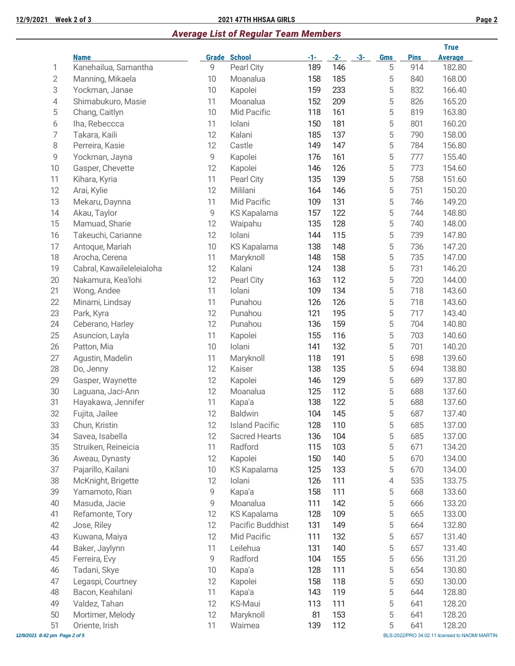## **12/9/2021 Week 2 of 3 2021 47TH HHSAA GIRLS Page 2**

# *Average List of Regular Team Members*

|                               |                           |    |                       |       |       |       |            |             | <b>True</b>                                    |
|-------------------------------|---------------------------|----|-----------------------|-------|-------|-------|------------|-------------|------------------------------------------------|
|                               | <b>Name</b>               |    | <b>Grade School</b>   | $-1-$ | $-2-$ | $-3-$ | <b>Gms</b> | <b>Pins</b> | <b>Average</b>                                 |
| 1                             | Kanehailua, Samantha      | 9  | Pearl City            | 189   | 146   |       | 5          | 914         | 182.80                                         |
| $\mathbf 2$                   | Manning, Mikaela          | 10 | Moanalua              | 158   | 185   |       | 5          | 840         | 168.00                                         |
| 3                             | Yockman, Janae            | 10 | Kapolei               | 159   | 233   |       | 5          | 832         | 166.40                                         |
| 4                             | Shimabukuro, Masie        | 11 | Moanalua              | 152   | 209   |       | 5          | 826         | 165.20                                         |
| 5                             | Chang, Caitlyn            | 10 | Mid Pacific           | 118   | 161   |       | 5          | 819         | 163.80                                         |
| 6                             | Iha, Rebeccca             | 11 | Iolani                | 150   | 181   |       | 5          | 801         | 160.20                                         |
| 7                             | Takara, Kaili             | 12 | Kalani                | 185   | 137   |       | 5          | 790         | 158.00                                         |
| 8                             | Perreira, Kasie           | 12 | Castle                | 149   | 147   |       | 5          | 784         | 156.80                                         |
| 9                             | Yockman, Jayna            | 9  | Kapolei               | 176   | 161   |       | 5          | 777         | 155.40                                         |
| 10                            | Gasper, Chevette          | 12 | Kapolei               | 146   | 126   |       | 5          | 773         | 154.60                                         |
| 11                            | Kihara, Kyria             | 11 | Pearl City            | 135   | 139   |       | 5          | 758         | 151.60                                         |
| 12                            | Arai, Kylie               | 12 | Mililani              | 164   | 146   |       | 5          | 751         | 150.20                                         |
| 13                            | Mekaru, Daynna            | 11 | Mid Pacific           | 109   | 131   |       | 5          | 746         | 149.20                                         |
| 14                            | Akau, Taylor              | 9  | <b>KS Kapalama</b>    | 157   | 122   |       | 5          | 744         | 148.80                                         |
| 15                            | Mamuad, Sharie            | 12 | Waipahu               | 135   | 128   |       | 5          | 740         | 148.00                                         |
| 16                            | Takeuchi, Carianne        | 12 | Iolani                | 144   | 115   |       | 5          | 739         | 147.80                                         |
| 17                            | Antoque, Mariah           | 10 | <b>KS Kapalama</b>    | 138   | 148   |       | 5          | 736         | 147.20                                         |
| 18                            | Arocha, Cerena            | 11 | Maryknoll             | 148   | 158   |       | 5          | 735         | 147.00                                         |
| 19                            | Cabral, Kawaileleleialoha | 12 | Kalani                | 124   | 138   |       | 5          | 731         | 146.20                                         |
| 20                            | Nakamura, Kea'lohi        | 12 | Pearl City            | 163   | 112   |       | 5          | 720         | 144.00                                         |
| 21                            | Wong, Andee               | 11 | Iolani                | 109   | 134   |       | 5          | 718         | 143.60                                         |
| 22                            | Minami, Lindsay           | 11 | Punahou               | 126   | 126   |       | 5          | 718         | 143.60                                         |
| 23                            | Park, Kyra                | 12 | Punahou               | 121   | 195   |       | 5          | 717         | 143.40                                         |
| 24                            | Ceberano, Harley          | 12 | Punahou               | 136   | 159   |       | 5          | 704         | 140.80                                         |
| 25                            | Asuncion, Layla           | 11 | Kapolei               | 155   | 116   |       | 5          | 703         | 140.60                                         |
| 26                            | Patton, Mia               | 10 | Iolani                | 141   | 132   |       | 5          | 701         | 140.20                                         |
| 27                            | Agustin, Madelin          | 11 | Maryknoll             | 118   | 191   |       | 5          | 698         | 139.60                                         |
| 28                            | Do, Jenny                 | 12 | Kaiser                | 138   | 135   |       | 5          | 694         | 138.80                                         |
| 29                            | Gasper, Waynette          | 12 | Kapolei               | 146   | 129   |       | 5          | 689         | 137.80                                         |
| 30                            | Laguana, Jaci-Ann         | 12 | Moanalua              | 125   | 112   |       | 5          | 688         | 137.60                                         |
| 31                            | Hayakawa, Jennifer        | 11 | Kapa'a                | 138   | 122   |       | 5          | 688         | 137.60                                         |
| 32                            | Fujita, Jailee            | 12 | <b>Baldwin</b>        | 104   | 145   |       | 5          | 687         | 137.40                                         |
| 33                            | Chun, Kristin             | 12 | <b>Island Pacific</b> | 128   | 110   |       | 5          | 685         | 137.00                                         |
| 34                            | Savea, Isabella           | 12 | <b>Sacred Hearts</b>  | 136   | 104   |       | 5          | 685         | 137.00                                         |
| $35\,$                        | Struiken, Reineicia       | 11 | Radford               | 115   | 103   |       | 5          | 671         | 134.20                                         |
| 36                            | Aweau, Dynasty            | 12 | Kapolei               | 150   | 140   |       | 5          | 670         | 134.00                                         |
| 37                            | Pajarillo, Kailani        | 10 | <b>KS Kapalama</b>    | 125   | 133   |       | 5          | 670         | 134.00                                         |
| 38                            | McKnight, Brigette        | 12 | Iolani                | 126   | 111   |       | 4          | 535         | 133.75                                         |
| 39                            | Yamamoto, Rian            | 9  | Kapa'a                | 158   | 111   |       | 5          | 668         | 133.60                                         |
| 40                            | Masuda, Jacie             | 9  | Moanalua              | 111   | 142   |       | 5          | 666         | 133.20                                         |
| 41                            | Refamonte, Tory           | 12 | <b>KS Kapalama</b>    | 128   | 109   |       | 5          | 665         | 133.00                                         |
| 42                            | Jose, Riley               | 12 | Pacific Buddhist      | 131   | 149   |       | 5          | 664         | 132.80                                         |
| 43                            | Kuwana, Maiya             | 12 | Mid Pacific           | 111   | 132   |       | 5          | 657         | 131.40                                         |
| 44                            | Baker, Jaylynn            | 11 | Leilehua              | 131   | 140   |       | 5          | 657         | 131.40                                         |
| 45                            | Ferreira, Evy             | 9  | Radford               | 104   | 155   |       | 5          | 656         | 131.20                                         |
| 46                            | Tadani, Skye              | 10 | Kapa'a                | 128   | 111   |       | 5          | 654         | 130.80                                         |
| 47                            | Legaspi, Courtney         | 12 | Kapolei               | 158   | 118   |       | 5          | 650         | 130.00                                         |
| 48                            | Bacon, Keahilani          | 11 | Kapa'a                | 143   | 119   |       | 5          | 644         | 128.80                                         |
| 49                            | Valdez, Tahan             | 12 | KS-Maui               | 113   | 111   |       | 5          | 641         | 128.20                                         |
| 50                            | Mortimer, Melody          | 12 | Maryknoll             | 81    | 153   |       | 5          | 641         | 128.20                                         |
| 51                            | Oriente, Irish            | 11 | Waimea                | 139   | 112   |       | 5          | 641         | 128.20                                         |
| 12/9/2021 8:42 pm Page 2 of 5 |                           |    |                       |       |       |       |            |             | BLS-2022/PRO 34.02.11 licensed to NAOMI MARTIN |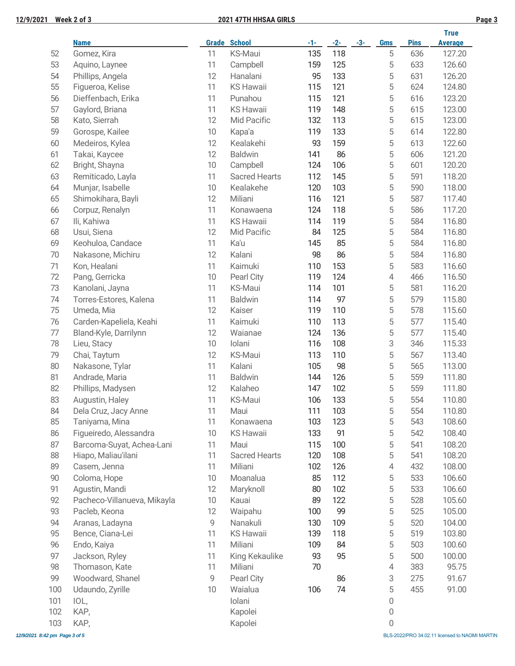|     |                             |    |                      |       |       |       |            | <b>True</b> |                |
|-----|-----------------------------|----|----------------------|-------|-------|-------|------------|-------------|----------------|
|     | <b>Name</b>                 |    | <b>Grade School</b>  | $-1-$ | $-2-$ | $-3-$ | <b>Gms</b> | <b>Pins</b> | <b>Average</b> |
| 52  | Gomez, Kira                 | 11 | KS-Maui              | 135   | 118   |       | 5          | 636         | 127.20         |
| 53  | Aquino, Laynee              | 11 | Campbell             | 159   | 125   |       | 5          | 633         | 126.60         |
| 54  | Phillips, Angela            | 12 | Hanalani             | 95    | 133   |       | 5          | 631         | 126.20         |
| 55  | Figueroa, Kelise            | 11 | <b>KS Hawaii</b>     | 115   | 121   |       | 5          | 624         | 124.80         |
| 56  | Dieffenbach, Erika          | 11 | Punahou              | 115   | 121   |       | 5          | 616         | 123.20         |
| 57  | Gaylord, Briana             | 11 | <b>KS Hawaii</b>     | 119   | 148   |       | 5          | 615         | 123.00         |
| 58  | Kato, Sierrah               | 12 | Mid Pacific          | 132   | 113   |       | 5          | 615         | 123.00         |
| 59  | Gorospe, Kailee             | 10 | Kapa'a               | 119   | 133   |       | 5          | 614         | 122.80         |
| 60  | Medeiros, Kylea             | 12 | Kealakehi            | 93    | 159   |       | 5          | 613         | 122.60         |
| 61  | Takai, Kaycee               | 12 | <b>Baldwin</b>       | 141   | 86    |       | 5          | 606         | 121.20         |
| 62  | Bright, Shayna              | 10 | Campbell             | 124   | 106   |       | 5          | 601         | 120.20         |
| 63  | Remiticado, Layla           | 11 | <b>Sacred Hearts</b> | 112   | 145   |       | 5          | 591         | 118.20         |
| 64  | Munjar, Isabelle            | 10 | Kealakehe            | 120   | 103   |       | 5          | 590         | 118.00         |
| 65  | Shimokihara, Bayli          | 12 | Miliani              | 116   | 121   |       | 5          | 587         | 117.40         |
| 66  | Corpuz, Renalyn             | 11 | Konawaena            | 124   | 118   |       | 5          | 586         | 117.20         |
| 67  | Ili, Kahiwa                 | 11 | <b>KS Hawaii</b>     | 114   | 119   |       | 5          | 584         | 116.80         |
| 68  | Usui, Siena                 | 12 | Mid Pacific          | 84    | 125   |       | 5          | 584         | 116.80         |
| 69  | Keohuloa, Candace           | 11 | Ka'u                 | 145   | 85    |       | 5          | 584         | 116.80         |
| 70  | Nakasone, Michiru           | 12 | Kalani               | 98    | 86    |       | 5          | 584         | 116.80         |
| 71  | Kon, Healani                | 11 | Kaimuki              | 110   | 153   |       | 5          | 583         | 116.60         |
| 72  | Pang, Gerricka              | 10 | Pearl City           | 119   | 124   |       | 4          | 466         | 116.50         |
| 73  | Kanolani, Jayna             | 11 | <b>KS-Maui</b>       | 114   | 101   |       | 5          | 581         | 116.20         |
| 74  | Torres-Estores, Kalena      | 11 | <b>Baldwin</b>       | 114   | 97    |       | 5          | 579         | 115.80         |
| 75  | Umeda, Mia                  | 12 | Kaiser               | 119   | 110   |       | 5          | 578         | 115.60         |
| 76  | Carden-Kapeliela, Keahi     | 11 | Kaimuki              | 110   | 113   |       | 5          | 577         | 115.40         |
| 77  | Bland-Kyle, Darrilynn       | 12 | Waianae              | 124   | 136   |       | 5          | 577         | 115.40         |
| 78  | Lieu, Stacy                 | 10 | Iolani               | 116   | 108   |       | 3          | 346         | 115.33         |
| 79  | Chai, Taytum                | 12 | <b>KS-Maui</b>       | 113   | 110   |       | 5          | 567         | 113.40         |
| 80  | Nakasone, Tylar             | 11 | Kalani               | 105   | 98    |       | 5          | 565         | 113.00         |
| 81  | Andrade, Maria              | 11 | <b>Baldwin</b>       | 144   | 126   |       | 5          | 559         | 111.80         |
| 82  | Phillips, Madysen           | 12 | Kalaheo              | 147   | 102   |       | 5          | 559         | 111.80         |
| 83  | Augustin, Haley             | 11 | <b>KS-Maui</b>       | 106   | 133   |       | 5          | 554         | 110.80         |
| 84  | Dela Cruz, Jacy Anne        | 11 | Maui                 | 111   | 103   |       | 5          | 554         | 110.80         |
| 85  | Taniyama, Mina              | 11 | Konawaena            | 103   | 123   |       | 5          | 543         | 108.60         |
| 86  | Figueiredo, Alessandra      | 10 | <b>KS Hawaii</b>     | 133   | 91    |       | 5          | 542         | 108.40         |
| 87  | Barcoma-Suyat, Achea-Lani   | 11 | Maui                 | 115   | 100   |       | 5          | 541         | 108.20         |
| 88  | Hiapo, Maliau'ilani         | 11 | <b>Sacred Hearts</b> | 120   | 108   |       | 5          | 541         | 108.20         |
| 89  | Casem, Jenna                | 11 | Miliani              | 102   | 126   |       | 4          | 432         | 108.00         |
| 90  | Coloma, Hope                | 10 | Moanalua             | 85    | 112   |       | 5          | 533         | 106.60         |
| 91  | Agustin, Mandi              | 12 | Maryknoll            | 80    | 102   |       | 5          | 533         | 106.60         |
| 92  | Pacheco-Villanueva, Mikayla | 10 | Kauai                | 89    | 122   |       | 5          | 528         | 105.60         |
| 93  | Pacleb, Keona               | 12 | Waipahu              | 100   | 99    |       | 5          | 525         | 105.00         |
| 94  | Aranas, Ladayna             | 9  | Nanakuli             | 130   | 109   |       | 5          | 520         | 104.00         |
| 95  | Bence, Ciana-Lei            | 11 | <b>KS Hawaii</b>     | 139   | 118   |       | 5          | 519         | 103.80         |
| 96  | Endo, Kaiya                 | 11 | Miliani              | 109   | 84    |       | 5          | 503         | 100.60         |
| 97  | Jackson, Ryley              | 11 | King Kekaulike       | 93    | 95    |       | 5          | 500         | 100.00         |
| 98  | Thomason, Kate              | 11 | Miliani              | 70    |       |       | 4          | 383         | 95.75          |
| 99  | Woodward, Shanel            | 9  | Pearl City           |       | 86    |       | 3          | 275         | 91.67          |
| 100 | Udaundo, Zyrille            | 10 | Waialua              | 106   | 74    |       | 5          | 455         | 91.00          |
| 101 | IOL,                        |    | Iolani               |       |       |       | 0          |             |                |
| 102 | KAP,                        |    | Kapolei              |       |       |       | 0          |             |                |
| 103 | KAP,                        |    | Kapolei              |       |       |       | 0          |             |                |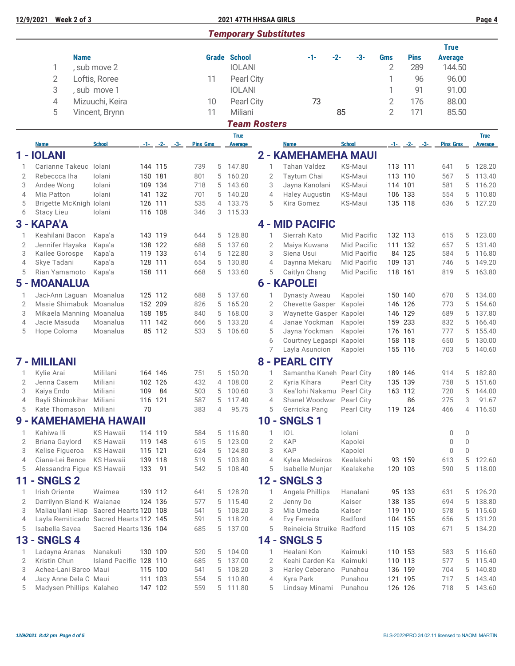## **12/9/2021 Week 2 of 3 2021 47TH HHSAA GIRLS Page 4**

# *Temporary Substitutes*

|                     |                                        | <b>Name</b>                             |     |                    |                 |        | <b>Grade School</b>           |        |                     | -1- -                                      | $-2-$<br>-3-       | <b>Gms</b>     | <b>Pins</b>        | <b>True</b><br>Average     |                  |                               |
|---------------------|----------------------------------------|-----------------------------------------|-----|--------------------|-----------------|--------|-------------------------------|--------|---------------------|--------------------------------------------|--------------------|----------------|--------------------|----------------------------|------------------|-------------------------------|
|                     | 1                                      | , sub move 2                            |     |                    |                 |        | <b>IOLANI</b>                 |        |                     |                                            |                    | 2              | 289                | 144.50                     |                  |                               |
|                     | $\overline{2}$                         | Loftis, Roree                           |     |                    | 11              |        | Pearl City                    |        |                     |                                            |                    | 1              | 96                 | 96.00                      |                  |                               |
|                     |                                        |                                         |     |                    |                 |        |                               |        |                     |                                            |                    |                |                    |                            |                  |                               |
|                     | 3                                      | , sub move 1                            |     |                    |                 |        | <b>IOLANI</b>                 |        |                     |                                            |                    | 1              | 91                 | 91.00                      |                  |                               |
|                     | 4                                      | Mizuuchi, Keira                         |     |                    | 10              |        | Pearl City                    |        |                     | 73                                         |                    | $\overline{2}$ | 176                | 88.00                      |                  |                               |
|                     | 5                                      | Vincent, Brynn                          |     |                    | 11              |        | Miliani                       |        |                     |                                            | 85                 | $\overline{2}$ | 171                | 85.50                      |                  |                               |
|                     |                                        |                                         |     |                    |                 |        | <b>Team Rosters</b>           |        |                     |                                            |                    |                |                    |                            |                  |                               |
|                     | <b>Name</b>                            | <b>School</b>                           |     | $-1 - (-2 - (-3 -$ | <b>Pins Gms</b> |        | <b>True</b><br><b>Average</b> |        |                     | <b>Name</b>                                | <b>School</b>      |                | $-1 - (-2 - (-3 -$ | <b>Pins Gms</b>            |                  | <b>True</b><br><b>Average</b> |
|                     | 1 - IOLANI                             |                                         |     |                    |                 |        |                               |        |                     | 2 - KAMEHAMEHA MAUI                        |                    |                |                    |                            |                  |                               |
| 1                   | Carianne Takeuc                        | lolani                                  |     | 144 115            | 739             | 5      | 147.80                        |        | $\mathbf{1}$        | <b>Tahan Valdez</b>                        | KS-Maui            | 113 111        |                    | 641                        | 5                | 128.20                        |
| $\overline{2}$      | Rebeccca Iha                           | lolani                                  |     | 150 181            | 801             | 5      | 160.20                        |        | $\overline{2}$      | Taytum Chai                                | KS-Maui            |                | 113 110            | 567                        | 5                | 113.40                        |
| 3                   | Andee Wong                             | Iolani                                  |     | 109 134            | 718             | 5      | 143.60                        |        | 3                   | Jayna Kanolani                             | KS-Maui            |                | 114 101            | 581                        | 5                | 116.20                        |
| $\overline{4}$      | Mia Patton                             | lolani                                  |     | 141 132            | 701             | 5      | 140.20                        |        | $\overline{4}$      | <b>Haley Augustin</b>                      | KS-Maui            |                | 106 133            | 554                        | 5                | 110.80                        |
| 5                   | Brigette McKnigh Iolani                |                                         |     | 126 111            | 535             | 4      | 133.75                        |        | 5                   | Kira Gomez                                 | KS-Maui            |                | 135 118            | 636                        |                  | 5 127.20                      |
| 6                   | Stacy Lieu                             | lolani                                  |     | 116 108            | 346             | 3      | 115.33                        |        |                     |                                            |                    |                |                    |                            |                  |                               |
|                     | 3 - KAPA'A                             |                                         |     |                    |                 |        |                               |        |                     | <b>4 - MID PACIFIC</b>                     |                    |                |                    |                            |                  |                               |
| 1                   | Keahilani Bacon                        | Kapa'a                                  |     | 143 119            | 644             | 5      | 128.80                        |        | 1                   | Sierrah Kato                               | <b>Mid Pacific</b> |                | 132 113            | 615                        | 5                | 123.00                        |
| $\overline{2}$      | Jennifer Hayaka                        | Kapa'a                                  |     | 138 122            | 688             | 5      | 137.60                        |        | $\overline{2}$      | Maiya Kuwana                               | Mid Pacific        |                | 111 132            | 657                        | 5                | 131.40                        |
| 3                   | Kailee Gorospe                         | Kapa'a                                  |     | 119 133            | 614             | 5      | 122.80                        |        | 3                   | Siena Usui                                 | Mid Pacific        |                | 84 125             | 584                        | 5                | 116.80                        |
| 4                   | Skye Tadani                            | Kapa'a                                  |     | 128 111            | 654             | 5      | 130.80                        |        | $\overline{4}$      | Daynna Mekaru                              | Mid Pacific        |                | 109 131            | 746                        | 5                | 149.20                        |
| 5                   | Rian Yamamoto                          | Kapa'a                                  |     | 158 111            | 668             | 5      | 133.60                        |        | 5                   | Caitlyn Chang                              | Mid Pacific        |                | 118 161            | 819                        | 5                | 163.80                        |
|                     | <b>5 - MOANALUA</b>                    |                                         |     |                    |                 |        |                               |        |                     | <b>6 - KAPOLEI</b>                         |                    |                |                    |                            |                  |                               |
| 1                   |                                        | Jaci-Ann Laguan Moanalua                |     | 125 112            | 688             | 5      | 137.60                        |        | $\mathbf{1}$        | <b>Dynasty Aweau</b>                       | Kapolei            |                | 150 140            | 670                        | 5                | 134.00                        |
| $\overline{2}$      |                                        | Masie Shimabuk Moanalua                 |     | 152 209            | 826             | 5      | 165.20                        |        | $\overline{2}$      | Chevette Gasper                            | Kapolei            |                | 146 126            | 773                        | 5                | 154.60                        |
| 3                   |                                        | Mikaela Manning Moanalua                |     | 158 185            | 840             | 5      | 168.00                        |        | 3                   | Waynette Gasper Kapolei                    |                    |                | 146 129            | 689                        | 5                | 137.80                        |
| $\overline{4}$      | Jacie Masuda                           | Moanalua                                |     | 111 142            | 666             | 5      | 133.20                        |        | $\overline{4}$      | Janae Yockman                              | Kapolei            |                | 159 233            | 832                        | 5                | 166.40                        |
| 5                   | Hope Coloma                            | Moanalua                                |     | 85 112             | 533             | 5      | 106.60                        |        | 5                   | Jayna Yockman                              | Kapolei            |                | 176 161            | 777                        | 5                | 155.40                        |
|                     |                                        |                                         |     |                    |                 |        |                               |        | 6                   | Courtney Legaspi Kapolei                   |                    |                | 158 118            | 650                        | 5                | 130.00                        |
|                     |                                        |                                         |     |                    |                 |        |                               |        | 7                   | Layla Asuncion                             | Kapolei            |                | 155 116            | 703                        | 5                | 140.60                        |
|                     | 7 - MILILANI                           |                                         |     |                    |                 |        |                               |        |                     | <b>8 - PEARL CITY</b>                      |                    |                |                    |                            |                  |                               |
| 1                   | Kylie Arai                             | Mililani                                |     | 164 146            | 751             | 5      | 150.20                        |        | 1                   | Samantha Kaneh Pearl City                  |                    |                | 189 146            | 914                        | 5                | 182.80                        |
| $\overline{2}$      | Jenna Casem                            | Miliani                                 |     | 102 126            | 432             | 4      | 108.00                        |        | $\overline{2}$      | Kyria Kihara                               | Pearl City         |                | 135 139            | 758                        | 5                | 151.60                        |
| 3                   | Kaiya Endo                             | Miliani                                 | 109 | 84                 | 503             | 5      | 100.60                        |        | 3                   | Kea'lohi Nakamu Pearl City                 |                    |                | 163 112            | 720                        | 5                | 144.00                        |
| $\overline{4}$<br>5 | Bayli Shimokihar                       | Miliani                                 | 70  | 116 121            | 587<br>383      | 5<br>4 | 117.40<br>95.75               |        | $\overline{4}$<br>5 | Shanel Woodwar Pearl City<br>Gerricka Pang |                    |                | 86<br>119 124      | 275<br>466                 | 3                | 91.67<br>4 116.50             |
|                     | Kate Thomason<br>9 - KAMEHAMEHA HAWAII | Miliani                                 |     |                    |                 |        |                               |        |                     |                                            | Pearl City         |                |                    |                            |                  |                               |
|                     |                                        |                                         |     |                    |                 |        |                               |        |                     | 10 - SNGLS 1                               |                    |                |                    |                            |                  |                               |
| 1                   | Kahiwa Ili                             | <b>KS Hawaii</b>                        |     | 114 119            | 584             | 5      | 116.80                        |        | $\mathbf{1}$        | <b>IOL</b><br><b>KAP</b>                   | Iolani             |                |                    | 0                          | 0                |                               |
| $\overline{2}$<br>3 | Briana Gaylord                         | <b>KS Hawaii</b><br><b>KS Hawaii</b>    |     | 119 148<br>115 121 | 615<br>624      | 5<br>5 | 123.00<br>124.80              |        | $\overline{2}$<br>3 | <b>KAP</b>                                 | Kapolei<br>Kapolei |                |                    | $\mathbf 0$<br>$\mathbf 0$ | 0<br>$\mathbf 0$ |                               |
| $\overline{4}$      | Kelise Figueroa<br>Ciana-Lei Bence     | <b>KS Hawaii</b>                        |     | 139 118            | 519             | 5      | 103.80                        |        | $\overline{4}$      | Kylea Medeiros                             | Kealakehi          |                | 93 159             | 613                        | 5                | 122.60                        |
| 5                   |                                        | Alessandra Figue KS Hawaii              | 133 | 91                 | 542             | 5      | 108.40                        |        | 5                   | Isabelle Munjar                            | Kealakehe          |                | 120 103            | 590                        | 5                | 118.00                        |
| 11                  | <b>SNGLS 2</b>                         |                                         |     |                    |                 |        |                               |        |                     | <b>12 - SNGLS 3</b>                        |                    |                |                    |                            |                  |                               |
| 1                   | Irish Oriente                          | Waimea                                  |     | 139 112            | 641             | 5      | 128.20                        |        | 1                   | Angela Phillips                            | Hanalani           |                | 95 133             | 631                        |                  | 5 126.20                      |
| 2                   | Darrilynn Bland-K Waianae              |                                         |     | 124 136            | 577             | 5      | 115.40                        |        | $\overline{2}$      | Jenny Do                                   | Kaiser             |                | 138 135            | 694                        | 5                | 138.80                        |
| 3                   |                                        | Maliau'ilani Hiap Sacred Hearts 120 108 |     |                    | 541             | 5      | 108.20                        |        | 3                   | Mia Umeda                                  | Kaiser             |                | 119 110            | 578                        | 5                | 115.60                        |
| $\overline{4}$      |                                        | Layla Remiticado Sacred Hearts 112 145  |     |                    | 591             | 5      | 118.20                        |        | $\overline{4}$      | Evy Ferreira                               | Radford            |                | 104 155            | 656                        | 5                | 131.20                        |
| 5                   | Isabella Savea                         | Sacred Hearts 136 104                   |     |                    | 685             | 5      | 137.00                        |        | 5                   | Reineicia Struike Radford                  |                    |                | 115 103            | 671                        |                  | 5 134.20                      |
| 13 -                | <b>SNGLS4</b>                          |                                         |     |                    |                 |        |                               | $14 -$ |                     | <b>SNGLS 5</b>                             |                    |                |                    |                            |                  |                               |
| 1                   | Ladayna Aranas                         | Nanakuli                                |     | 130 109            | 520             | 5      | 104.00                        |        | 1                   | Healani Kon                                | Kaimuki            |                | 110 153            | 583                        |                  | 5 116.60                      |
| $\overline{2}$      | Kristin Chun                           | Island Pacific 128 110                  |     |                    | 685             | 5      | 137.00                        |        | $\overline{2}$      | Keahi Carden-Ka                            | Kaimuki            |                | 110 113            | 577                        | 5                | 115.40                        |
| 3                   | Achea-Lani Barco Maui                  |                                         |     | 115 100            | 541             | 5      | 108.20                        |        | 3                   | Harley Ceberano                            | Punahou            |                | 136 159            | 704                        | 5                | 140.80                        |
| $\overline{4}$      | Jacy Anne Dela C Maui                  |                                         |     | 111 103            | 554             | 5      | 110.80                        |        | $\overline{4}$      | Kyra Park                                  | Punahou            |                | 121 195            | 717                        | 5                | 143.40                        |
| 5                   | Madysen Phillips Kalaheo               |                                         |     | 147 102            | 559             |        | 5 111.80                      |        | 5                   | Lindsay Minami                             | Punahou            |                | 126 126            | 718                        |                  | 5 143.60                      |